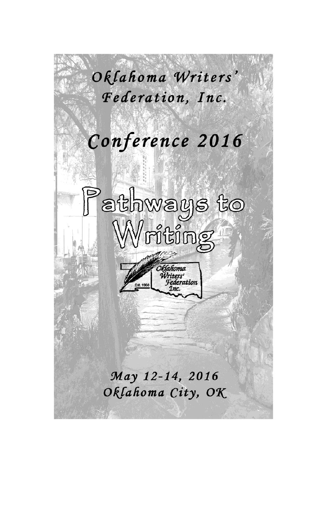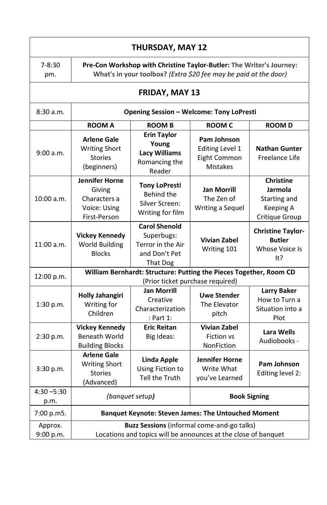| <b>THURSDAY, MAY 12</b> |                                                                                                                                          |                                                                                      |                                                                          |                                                                            |  |  |  |  |
|-------------------------|------------------------------------------------------------------------------------------------------------------------------------------|--------------------------------------------------------------------------------------|--------------------------------------------------------------------------|----------------------------------------------------------------------------|--|--|--|--|
| $7 - 8:30$<br>pm.       | Pre-Con Workshop with Christine Taylor-Butler: The Writer's Journey:<br>What's in your toolbox? (Extra \$20 fee may be paid at the door) |                                                                                      |                                                                          |                                                                            |  |  |  |  |
| FRIDAY, MAY 13          |                                                                                                                                          |                                                                                      |                                                                          |                                                                            |  |  |  |  |
| 8:30a.m.                | <b>Opening Session - Welcome: Tony LoPresti</b>                                                                                          |                                                                                      |                                                                          |                                                                            |  |  |  |  |
|                         | <b>ROOM A</b>                                                                                                                            | <b>ROOM B</b>                                                                        | <b>ROOM C</b>                                                            | <b>ROOMD</b>                                                               |  |  |  |  |
| 9:00 a.m.               | <b>Arlene Gale</b><br><b>Writing Short</b><br><b>Stories</b><br>(beginners)                                                              | <b>Erin Taylor</b><br>Young<br><b>Lacy Williams</b><br>Romancing the<br>Reader       | Pam Johnson<br><b>Editing Level 1</b><br>Eight Common<br><b>Mistakes</b> | <b>Nathan Gunter</b><br>Freelance Life                                     |  |  |  |  |
| $10:00$ a.m.            | <b>Jennifer Horne</b><br>Giving<br>Characters a<br>Voice: Using<br>First-Person                                                          | <b>Tony LoPresti</b><br>Behind the<br>Silver Screen:<br>Writing for film             | <b>Jan Morrill</b><br>The Zen of<br>Writing a Sequel                     | <b>Christine</b><br>Jarmola<br>Starting and<br>Keeping A<br>Critique Group |  |  |  |  |
| $11:00$ a.m.            | <b>Vickey Kennedy</b><br><b>World Building</b><br><b>Blocks</b>                                                                          | <b>Carol Shenold</b><br>Superbugs:<br>Terror in the Air<br>and Don't Pet<br>That Dog | <b>Vivian Zabel</b><br>Writing 101                                       | <b>Christine Taylor-</b><br><b>Butler</b><br><b>Whose Voice Is</b><br>lt?  |  |  |  |  |
| 12:00 p.m.              | William Bernhardt: Structure: Putting the Pieces Together, Room CD<br>(Prior ticket purchase required)                                   |                                                                                      |                                                                          |                                                                            |  |  |  |  |
| 1:30 p.m.               | <b>Holly Jahangiri</b><br>Writing for<br>Children                                                                                        | <b>Jan Morrill</b><br>Creative<br>Characterization<br>: Part 1:                      | <b>Uwe Stender</b><br>The Elevator<br>pitch                              | <b>Larry Baker</b><br>How to Turn a<br>Situation into a<br>Plot            |  |  |  |  |
| 2:30 p.m.               | <b>Vickey Kennedy</b><br><b>Beneath World</b><br><b>Building Blocks</b>                                                                  | <b>Eric Reitan</b><br>Big Ideas:                                                     | <b>Vivian Zabel</b><br><b>Fiction vs</b><br>NonFiction                   | Lara Wells<br>Audiobooks -                                                 |  |  |  |  |
| 3:30 p.m.               | <b>Arlene Gale</b><br><b>Writing Short</b><br><b>Stories</b><br>(Advanced)                                                               | <b>Linda Apple</b><br>Using Fiction to<br>Tell the Truth                             | Jennifer Horne<br>Write What<br>you've Learned                           | Pam Johnson<br>Editing level 2:                                            |  |  |  |  |
| $4:30 - 5:30$<br>p.m.   |                                                                                                                                          | (banquet setup)                                                                      | <b>Book Signing</b>                                                      |                                                                            |  |  |  |  |
| 7:00 p.m5.              | <b>Banquet Keynote: Steven James: The Untouched Moment</b>                                                                               |                                                                                      |                                                                          |                                                                            |  |  |  |  |
| Approx.<br>9:00 p.m.    | Buzz Sessions (informal come-and-go talks)<br>Locations and topics will be announces at the close of banquet                             |                                                                                      |                                                                          |                                                                            |  |  |  |  |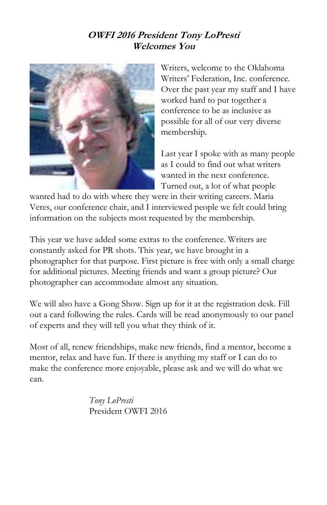### **OWFI 2016 President Tony LoPresti Welcomes You**



Writers, welcome to the Oklahoma Writers' Federation, Inc. conference. Over the past year my staff and I have worked hard to put together a conference to be as inclusive as possible for all of our very diverse membership.

Last year I spoke with as many people as I could to find out what writers wanted in the next conference. Turned out, a lot of what people

wanted had to do with where they were in their writing careers. Maria Veres, our conference chair, and I interviewed people we felt could bring information on the subjects most requested by the membership.

This year we have added some extras to the conference. Writers are constantly asked for PR shots. This year, we have brought in a photographer for that purpose. First picture is free with only a small charge for additional pictures. Meeting friends and want a group picture? Our photographer can accommodate almost any situation.

We will also have a Gong Show. Sign up for it at the registration desk. Fill out a card following the rules. Cards will be read anonymously to our panel of experts and they will tell you what they think of it.

Most of all, renew friendships, make new friends, find a mentor, become a mentor, relax and have fun. If there is anything my staff or I can do to make the conference more enjoyable, please ask and we will do what we can.

> *Tony LoPresti* President OWFI 2016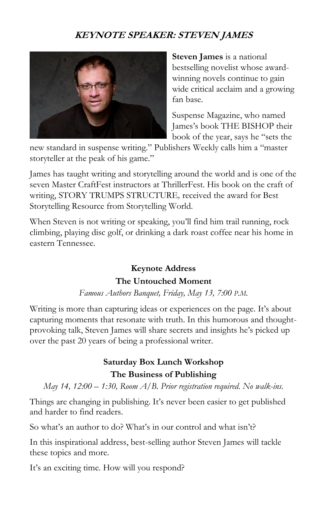### **KEYNOTE SPEAKER: STEVEN JAMES**



**Steven James** is a national bestselling novelist whose awardwinning novels continue to gain wide critical acclaim and a growing fan base.

Suspense Magazine, who named James's book THE BISHOP their book of the year, says he "sets the

new standard in suspense writing." Publishers Weekly calls him a "master storyteller at the peak of his game."

James has taught writing and storytelling around the world and is one of the seven Master CraftFest instructors at ThrillerFest. His book on the craft of writing, STORY TRUMPS STRUCTURE*,* received the award for Best Storytelling Resource from Storytelling World.

When Steven is not writing or speaking, you'll find him trail running, rock climbing, playing disc golf, or drinking a dark roast coffee near his home in eastern Tennessee.

### **Keynote Address The Untouched Moment**

*Famous Authors Banquet, Friday, May 13, 7:00 P.M.*

Writing is more than capturing ideas or experiences on the page. It's about capturing moments that resonate with truth. In this humorous and thoughtprovoking talk, Steven James will share secrets and insights he's picked up over the past 20 years of being a professional writer.

# **Saturday Box Lunch Workshop**

#### **The Business of Publishing**

*May 14, 12:00 – 1:30, Room A/B. Prior registration required. No walk-ins.*

Things are changing in publishing. It's never been easier to get published and harder to find readers.

So what's an author to do? What's in our control and what isn't?

In this inspirational address, best-selling author Steven James will tackle these topics and more.

It's an exciting time. How will you respond?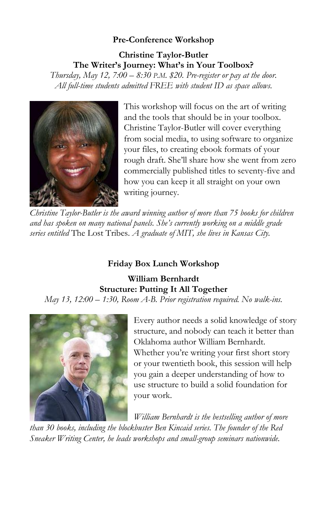### **Pre-Conference Workshop**

### **Christine Taylor-Butler The Writer's Journey: What's in Your Toolbox?**

*Thursday, May 12, 7:00 – 8:30 P.M. \$20. Pre-register or pay at the door. All full-time students admitted FREE with student ID as space allows.*



This workshop will focus on the art of writing and the tools that should be in your toolbox. Christine Taylor-Butler will cover everything from social media, to using software to organize your files, to creating ebook formats of your rough draft. She'll share how she went from zero commercially published titles to seventy-five and how you can keep it all straight on your own writing journey.

*Christine Taylor-Butler is the award winning author of more than 75 books for children and has spoken on many national panels. She's currently working on a middle grade series entitled* The Lost Tribes. *A graduate of MIT, she lives in Kansas City.* 

### **Friday Box Lunch Workshop**

**William Bernhardt Structure: Putting It All Together** *May 13, 12:00 – 1:30, Room A-B. Prior registration required. No walk-ins.*



Every author needs a solid knowledge of story structure, and nobody can teach it better than Oklahoma author William Bernhardt. Whether you're writing your first short story or your twentieth book, this session will help you gain a deeper understanding of how to use structure to build a solid foundation for your work.

*William Bernhardt is the bestselling author of more than 30 books, including the blockbuster Ben Kincaid series. The founder of the Red Sneaker Writing Center, he leads workshops and small-group seminars nationwide.*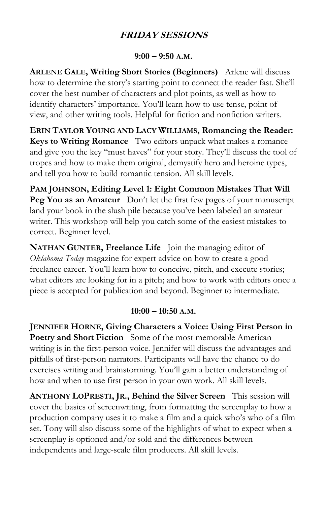### **FRIDAY SESSIONS**

#### **9:00 – 9:50 A.M.**

**ARLENE GALE, Writing Short Stories (Beginners)** Arlene will discuss how to determine the story's starting point to connect the reader fast. She'll cover the best number of characters and plot points, as well as how to identify characters' importance. You'll learn how to use tense, point of view, and other writing tools. Helpful for fiction and nonfiction writers.

**ERIN TAYLOR YOUNG AND LACY WILLIAMS, Romancing the Reader: Keys to Writing Romance** Two editors unpack what makes a romance and give you the key "must haves" for your story. They'll discuss the tool of tropes and how to make them original, demystify hero and heroine types, and tell you how to build romantic tension. All skill levels.

**PAM JOHNSON, Editing Level 1: Eight Common Mistakes That Will Peg You as an Amateur** Don't let the first few pages of your manuscript land your book in the slush pile because you've been labeled an amateur writer. This workshop will help you catch some of the easiest mistakes to correct. Beginner level.

**NATHAN GUNTER, Freelance Life** Join the managing editor of *Oklahoma Today* magazine for expert advice on how to create a good freelance career. You'll learn how to conceive, pitch, and execute stories; what editors are looking for in a pitch; and how to work with editors once a piece is accepted for publication and beyond. Beginner to intermediate.

#### **10:00 – 10:50 A.M.**

**JENNIFER HORNE, Giving Characters a Voice: Using First Person in Poetry and Short Fiction** Some of the most memorable American writing is in the first-person voice. Jennifer will discuss the advantages and pitfalls of first-person narrators. Participants will have the chance to do exercises writing and brainstorming. You'll gain a better understanding of how and when to use first person in your own work. All skill levels.

**ANTHONY LOPRESTI, JR., Behind the Silver Screen** This session will cover the basics of screenwriting, from formatting the screenplay to how a production company uses it to make a film and a quick who's who of a film set. Tony will also discuss some of the highlights of what to expect when a screenplay is optioned and/or sold and the differences between independents and large-scale film producers. All skill levels.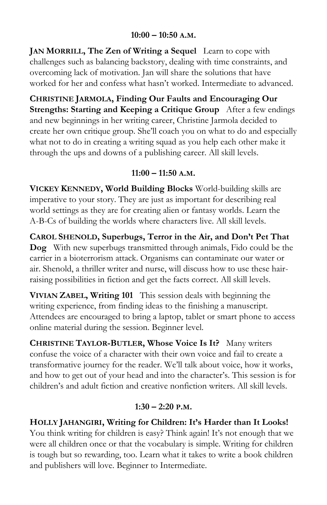#### **10:00 – 10:50 A.M.**

**JAN MORRILL, The Zen of Writing a Sequel** Learn to cope with challenges such as balancing backstory, dealing with time constraints, and overcoming lack of motivation. Jan will share the solutions that have worked for her and confess what hasn't worked. Intermediate to advanced.

**CHRISTINE JARMOLA, Finding Our Faults and Encouraging Our Strengths: Starting and Keeping a Critique Group** After a few endings and new beginnings in her writing career, Christine Jarmola decided to create her own critique group. She'll coach you on what to do and especially what not to do in creating a writing squad as you help each other make it through the ups and downs of a publishing career. All skill levels.

### **11:00 – 11:50 A.M.**

**VICKEY KENNEDY, World Building Blocks** World-building skills are imperative to your story. They are just as important for describing real world settings as they are for creating alien or fantasy worlds. Learn the A-B-Cs of building the worlds where characters live. All skill levels.

**CAROL SHENOLD, Superbugs, Terror in the Air, and Don't Pet That Dog** With new superbugs transmitted through animals, Fido could be the carrier in a bioterrorism attack. Organisms can contaminate our water or air. Shenold, a thriller writer and nurse, will discuss how to use these hairraising possibilities in fiction and get the facts correct. All skill levels.

**VIVIAN ZABEL, Writing 101** This session deals with beginning the writing experience, from finding ideas to the finishing a manuscript. Attendees are encouraged to bring a laptop, tablet or smart phone to access online material during the session. Beginner level.

**CHRISTINE TAYLOR-BUTLER, Whose Voice Is It?** Many writers confuse the voice of a character with their own voice and fail to create a transformative journey for the reader. We'll talk about voice, how it works, and how to get out of your head and into the character's. This session is for children's and adult fiction and creative nonfiction writers. All skill levels.

### **1:30 – 2:20 P.M.**

**HOLLY JAHANGIRI, Writing for Children: It's Harder than It Looks!** You think writing for children is easy? Think again! It's not enough that we were all children once or that the vocabulary is simple. Writing for children is tough but so rewarding, too. Learn what it takes to write a book children and publishers will love. Beginner to Intermediate.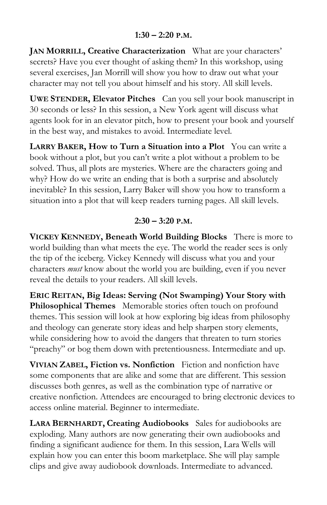**JAN MORRILL, Creative Characterization** What are your characters' secrets? Have you ever thought of asking them? In this workshop, using several exercises, Jan Morrill will show you how to draw out what your character may not tell you about himself and his story. All skill levels.

**UWE STENDER, Elevator Pitches** Can you sell your book manuscript in 30 seconds or less? In this session, a New York agent will discuss what agents look for in an elevator pitch, how to present your book and yourself in the best way, and mistakes to avoid. Intermediate level.

**LARRY BAKER, How to Turn a Situation into a Plot** You can write a book without a plot, but you can't write a plot without a problem to be solved. Thus, all plots are mysteries. Where are the characters going and why? How do we write an ending that is both a surprise and absolutely inevitable? In this session, Larry Baker will show you how to transform a situation into a plot that will keep readers turning pages. All skill levels.

### **2:30 – 3:20 P.M.**

**VICKEY KENNEDY, Beneath World Building Blocks** There is more to world building than what meets the eye. The world the reader sees is only the tip of the iceberg. Vickey Kennedy will discuss what you and your characters *must* know about the world you are building, even if you never reveal the details to your readers. All skill levels.

**ERIC REITAN, Big Ideas: Serving (Not Swamping) Your Story with Philosophical Themes** Memorable stories often touch on profound themes. This session will look at how exploring big ideas from philosophy and theology can generate story ideas and help sharpen story elements, while considering how to avoid the dangers that threaten to turn stories "preachy" or bog them down with pretentiousness. Intermediate and up.

**VIVIAN ZABEL, Fiction vs. Nonfiction** Fiction and nonfiction have some components that are alike and some that are different. This session discusses both genres, as well as the combination type of narrative or creative nonfiction. Attendees are encouraged to bring electronic devices to access online material. Beginner to intermediate.

**LARA BERNHARDT, Creating Audiobooks** Sales for audiobooks are exploding. Many authors are now generating their own audiobooks and finding a significant audience for them. In this session, Lara Wells will explain how you can enter this boom marketplace. She will play sample clips and give away audiobook downloads. Intermediate to advanced.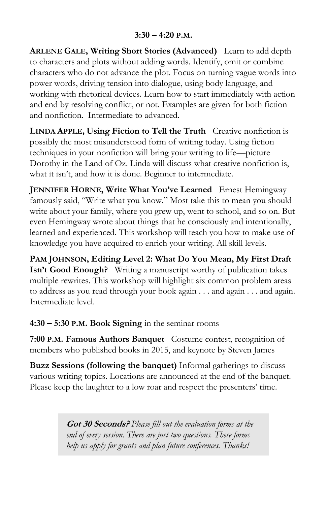#### **3:30 – 4:20 P.M.**

**ARLENE GALE, Writing Short Stories (Advanced)** Learn to add depth to characters and plots without adding words. Identify, omit or combine characters who do not advance the plot. Focus on turning vague words into power words, driving tension into dialogue, using body language, and working with rhetorical devices. Learn how to start immediately with action and end by resolving conflict, or not. Examples are given for both fiction and nonfiction. Intermediate to advanced.

**LINDA APPLE, Using Fiction to Tell the Truth** Creative nonfiction is possibly the most misunderstood form of writing today. Using fiction techniques in your nonfiction will bring your writing to life—picture Dorothy in the Land of Oz. Linda will discuss what creative nonfiction is, what it isn't, and how it is done. Beginner to intermediate.

**JENNIFER HORNE, Write What You've Learned** Ernest Hemingway famously said, "Write what you know." Most take this to mean you should write about your family, where you grew up, went to school, and so on. But even Hemingway wrote about things that he consciously and intentionally, learned and experienced. This workshop will teach you how to make use of knowledge you have acquired to enrich your writing. All skill levels.

**PAM JOHNSON, Editing Level 2: What Do You Mean, My First Draft Isn't Good Enough?** Writing a manuscript worthy of publication takes multiple rewrites. This workshop will highlight six common problem areas to address as you read through your book again . . . and again . . . and again. Intermediate level.

**4:30 – 5:30 P.M. Book Signing** in the seminar rooms

**7:00 P.M. Famous Authors Banquet** Costume contest, recognition of members who published books in 2015, and keynote by Steven James

**Buzz Sessions (following the banquet)** Informal gatherings to discuss various writing topics. Locations are announced at the end of the banquet. Please keep the laughter to a low roar and respect the presenters' time.

> **Got 30 Seconds?** *Please fill out the evaluation forms at the end of every session. There are just two questions. These forms help us apply for grants and plan future conferences. Thanks!*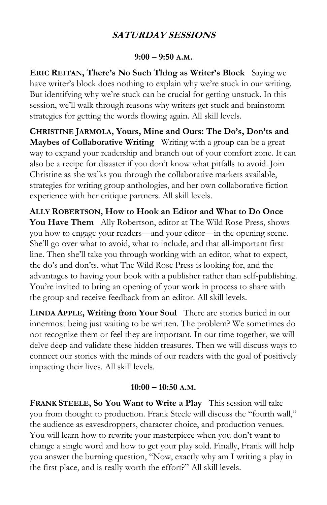### **SATURDAY SESSIONS**

#### **9:00 – 9:50 A.M.**

**ERIC REITAN, There's No Such Thing as Writer's Block** Saying we have writer's block does nothing to explain why we're stuck in our writing. But identifying why we're stuck can be crucial for getting unstuck. In this session, we'll walk through reasons why writers get stuck and brainstorm strategies for getting the words flowing again. All skill levels.

**CHRISTINE JARMOLA, Yours, Mine and Ours: The Do's, Don'ts and Maybes of Collaborative Writing** Writing with a group can be a great way to expand your readership and branch out of your comfort zone. It can also be a recipe for disaster if you don't know what pitfalls to avoid. Join Christine as she walks you through the collaborative markets available, strategies for writing group anthologies, and her own collaborative fiction experience with her critique partners. All skill levels.

**ALLY ROBERTSON, How to Hook an Editor and What to Do Once You Have Them** Ally Robertson, editor at The Wild Rose Press, shows you how to engage your readers—and your editor—in the opening scene. She'll go over what to avoid, what to include, and that all-important first line. Then she'll take you through working with an editor, what to expect, the do's and don'ts, what The Wild Rose Press is looking for, and the advantages to having your book with a publisher rather than self-publishing. You're invited to bring an opening of your work in process to share with the group and receive feedback from an editor. All skill levels.

**LINDA APPLE, Writing from Your Soul** There are stories buried in our innermost being just waiting to be written. The problem? We sometimes do not recognize them or feel they are important. In our time together, we will delve deep and validate these hidden treasures. Then we will discuss ways to connect our stories with the minds of our readers with the goal of positively impacting their lives. All skill levels.

#### **10:00 – 10:50 A.M.**

**FRANK STEELE, So You Want to Write a Play** This session will take you from thought to production. Frank Steele will discuss the "fourth wall," the audience as eavesdroppers, character choice, and production venues. You will learn how to rewrite your masterpiece when you don't want to change a single word and how to get your play sold. Finally, Frank will help you answer the burning question, "Now, exactly why am I writing a play in the first place, and is really worth the effort?" All skill levels.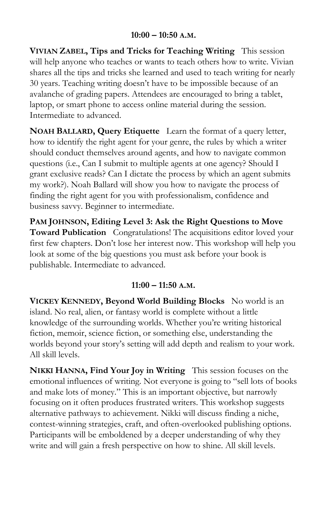#### **10:00 – 10:50 A.M.**

**VIVIAN ZABEL, Tips and Tricks for Teaching Writing** This session will help anyone who teaches or wants to teach others how to write. Vivian shares all the tips and tricks she learned and used to teach writing for nearly 30 years. Teaching writing doesn't have to be impossible because of an avalanche of grading papers. Attendees are encouraged to bring a tablet, laptop, or smart phone to access online material during the session. Intermediate to advanced.

**NOAH BALLARD, Query Etiquette** Learn the format of a query letter, how to identify the right agent for your genre, the rules by which a writer should conduct themselves around agents, and how to navigate common questions (i.e., Can I submit to multiple agents at one agency? Should I grant exclusive reads? Can I dictate the process by which an agent submits my work?). Noah Ballard will show you how to navigate the process of finding the right agent for you with professionalism, confidence and business savvy. Beginner to intermediate.

**PAM JOHNSON, Editing Level 3: Ask the Right Questions to Move Toward Publication** Congratulations! The acquisitions editor loved your first few chapters. Don't lose her interest now. This workshop will help you look at some of the big questions you must ask before your book is publishable. Intermediate to advanced.

### **11:00 – 11:50 A.M.**

**VICKEY KENNEDY, Beyond World Building Blocks** No world is an island. No real, alien, or fantasy world is complete without a little knowledge of the surrounding worlds. Whether you're writing historical fiction, memoir, science fiction, or something else, understanding the worlds beyond your story's setting will add depth and realism to your work. All skill levels.

**NIKKI HANNA, Find Your Joy in Writing** This session focuses on the emotional influences of writing. Not everyone is going to "sell lots of books and make lots of money." This is an important objective, but narrowly focusing on it often produces frustrated writers. This workshop suggests alternative pathways to achievement. Nikki will discuss finding a niche, contest-winning strategies, craft, and often-overlooked publishing options. Participants will be emboldened by a deeper understanding of why they write and will gain a fresh perspective on how to shine. All skill levels.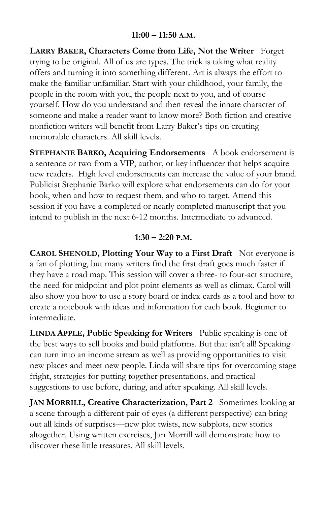#### **11:00 – 11:50 A.M.**

**LARRY BAKER, Characters Come from Life, Not the Writer** Forget trying to be original. All of us are types. The trick is taking what reality offers and turning it into something different. Art is always the effort to make the familiar unfamiliar. Start with your childhood, your family, the people in the room with you, the people next to you, and of course yourself. How do you understand and then reveal the innate character of someone and make a reader want to know more? Both fiction and creative nonfiction writers will benefit from Larry Baker's tips on creating memorable characters. All skill levels.

**STEPHANIE BARKO, Acquiring Endorsements** A book endorsement is a sentence or two from a VIP, author, or key influencer that helps acquire new readers. High level endorsements can increase the value of your brand. Publicist Stephanie Barko will explore what endorsements can do for your book, when and how to request them, and who to target. Attend this session if you have a completed or nearly completed manuscript that you intend to publish in the next 6-12 months. Intermediate to advanced.

#### **1:30 – 2:20 P.M.**

**CAROL SHENOLD, Plotting Your Way to a First Draft** Not everyone is a fan of plotting, but many writers find the first draft goes much faster if they have a road map. This session will cover a three- to four-act structure, the need for midpoint and plot point elements as well as climax. Carol will also show you how to use a story board or index cards as a tool and how to create a notebook with ideas and information for each book. Beginner to intermediate.

**LINDA APPLE, Public Speaking for Writers** Public speaking is one of the best ways to sell books and build platforms. But that isn't all! Speaking can turn into an income stream as well as providing opportunities to visit new places and meet new people. Linda will share tips for overcoming stage fright, strategies for putting together presentations, and practical suggestions to use before, during, and after speaking. All skill levels.

**JAN MORRILL, Creative Characterization, Part 2** Sometimes looking at a scene through a different pair of eyes (a different perspective) can bring out all kinds of surprises—new plot twists, new subplots, new stories altogether. Using written exercises, Jan Morrill will demonstrate how to discover these little treasures. All skill levels.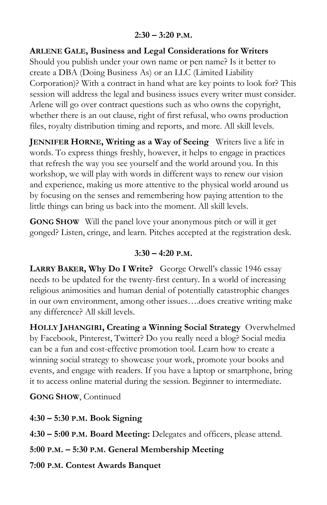**ARLENE GALE, Business and Legal Considerations for Writers** Should you publish under your own name or pen name? Is it better to create a DBA (Doing Business As) or an LLC (Limited Liability Corporation)? With a contract in hand what are key points to look for? This session will address the legal and business issues every writer must consider. Arlene will go over contract questions such as who owns the copyright, whether there is an out clause, right of first refusal, who owns production files, royalty distribution timing and reports, and more. All skill levels.

**JENNIFER HORNE, Writing as a Way of Seeing** Writers live a life in words. To express things freshly, however, it helps to engage in practices that refresh the way you see yourself and the world around you. In this workshop, we will play with words in different ways to renew our vision and experience, making us more attentive to the physical world around us by focusing on the senses and remembering how paying attention to the little things can bring us back into the moment. All skill levels.

**GONG SHOW** Will the panel love your anonymous pitch or will it get gonged? Listen, cringe, and learn. Pitches accepted at the registration desk.

### **3:30 – 4:20 P.M.**

**LARRY BAKER, Why Do I Write?** George Orwell's classic 1946 essay needs to be updated for the twenty-first century. In a world of increasing religious animosities and human denial of potentially catastrophic changes in our own environment, among other issues….does creative writing make any difference? All skill levels.

**HOLLY JAHANGIRI, Creating a Winning Social Strategy** Overwhelmed by Facebook, Pinterest, Twitter? Do you really need a blog? Social media can be a fun and cost-effective promotion tool. Learn how to create a winning social strategy to showcase your work, promote your books and events, and engage with readers. If you have a laptop or smartphone, bring it to access online material during the session. Beginner to intermediate.

**GONG SHOW**, Continued

**4:30 – 5:30 P.M. Book Signing**

**4:30 – 5:00 P.M. Board Meeting:** Delegates and officers, please attend.

**5:00 P.M. – 5:30 P.M. General Membership Meeting**

**7:00 P.M. Contest Awards Banquet**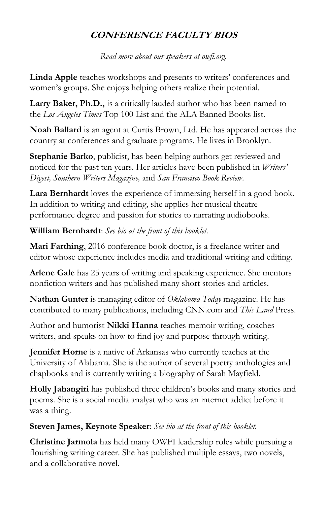### **CONFERENCE FACULTY BIOS**

*Read more about our speakers at owfi.org.*

**Linda Apple** teaches workshops and presents to writers' conferences and women's groups. She enjoys helping others realize their potential.

**Larry Baker, Ph.D.,** is a critically lauded author who has been named to the *Los Angeles Times* Top 100 List and the ALA Banned Books list.

**Noah Ballard** is an agent at Curtis Brown, Ltd. He has appeared across the country at conferences and graduate programs. He lives in Brooklyn.

**Stephanie Barko**, publicist, has been helping authors get reviewed and noticed for the past ten years. Her articles have been published in *Writers' Digest, Southern Writers Magazine,* and *San Francisco Book Review*.

**Lara Bernhardt** loves the experience of immersing herself in a good book. In addition to writing and editing, she applies her musical theatre performance degree and passion for stories to narrating audiobooks.

**William Bernhardt**: *See bio at the front of this booklet.*

**Mari Farthing**, 2016 conference book doctor, is a freelance writer and editor whose experience includes media and traditional writing and editing.

**Arlene Gale** has 25 years of writing and speaking experience. She mentors nonfiction writers and has published many short stories and articles.

**Nathan Gunter** is managing editor of *Oklahoma Today* magazine. He has contributed to many publications, including CNN.com and *This Land* Press.

Author and humorist **Nikki Hanna** teaches memoir writing, coaches writers, and speaks on how to find joy and purpose through writing.

**Jennifer Horne** is a native of Arkansas who currently teaches at the University of Alabama. She is the author of several poetry anthologies and chapbooks and is currently writing a biography of Sarah Mayfield.

**Holly Jahangiri** has published three children's books and many stories and poems. She is a social media analyst who was an internet addict before it was a thing.

### **Steven James, Keynote Speaker**: *See bio at the front of this booklet.*

**Christine Jarmola** has held many OWFI leadership roles while pursuing a flourishing writing career. She has published multiple essays, two novels, and a collaborative novel.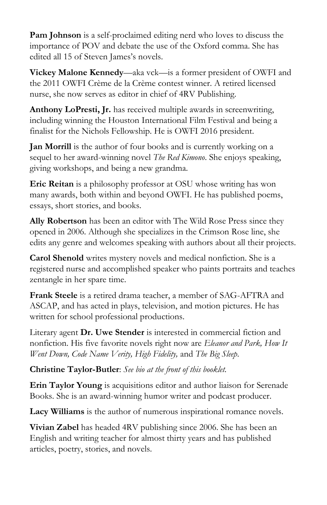**Pam Johnson** is a self-proclaimed editing nerd who loves to discuss the importance of POV and debate the use of the Oxford comma. She has edited all 15 of Steven James's novels.

**Vickey Malone Kennedy**—aka vck—is a former president of OWFI and the 2011 OWFI Crème de la Crème contest winner. A retired licensed nurse, she now serves as editor in chief of 4RV Publishing.

**Anthony LoPresti, Jr.** has received multiple awards in screenwriting, including winning the Houston International Film Festival and being a finalist for the Nichols Fellowship. He is OWFI 2016 president.

**Jan Morrill** is the author of four books and is currently working on a sequel to her award-winning novel *The Red Kimono*. She enjoys speaking, giving workshops, and being a new grandma.

**Eric Reitan** is a philosophy professor at OSU whose writing has won many awards, both within and beyond OWFI. He has published poems, essays, short stories, and books.

**Ally Robertson** has been an editor with The Wild Rose Press since they opened in 2006. Although she specializes in the Crimson Rose line, she edits any genre and welcomes speaking with authors about all their projects.

**Carol Shenold** writes mystery novels and medical nonfiction. She is a registered nurse and accomplished speaker who paints portraits and teaches zentangle in her spare time.

**Frank Steele** is a retired drama teacher, a member of SAG-AFTRA and ASCAP, and has acted in plays, television, and motion pictures. He has written for school professional productions.

Literary agent **Dr. Uwe Stender** is interested in commercial fiction and nonfiction. His five favorite novels right now are *Eleanor and Park, How It Went Down, Code Name Verity, High Fidelity,* and *The Big Sleep*.

**Christine Taylor-Butler**: *See bio at the front of this booklet.*

**Erin Taylor Young** is acquisitions editor and author liaison for Serenade Books. She is an award-winning humor writer and podcast producer.

**Lacy Williams** is the author of numerous inspirational romance novels.

**Vivian Zabel** has headed 4RV publishing since 2006. She has been an English and writing teacher for almost thirty years and has published articles, poetry, stories, and novels.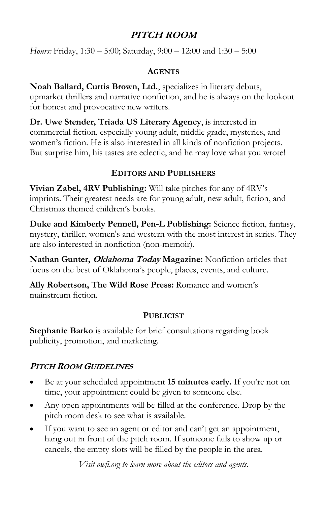### **PITCH ROOM**

*Hours:* Friday, 1:30 – 5:00; Saturday, 9:00 – 12:00 and 1:30 – 5:00

#### **AGENTS**

**Noah Ballard, Curtis Brown, Ltd.**, specializes in literary debuts, upmarket thrillers and narrative nonfiction, and he is always on the lookout for honest and provocative new writers.

**Dr. Uwe Stender, Triada US Literary Agency**, is interested in commercial fiction, especially young adult, middle grade, mysteries, and women's fiction. He is also interested in all kinds of nonfiction projects. But surprise him, his tastes are eclectic, and he may love what you wrote!

### **EDITORS AND PUBLISHERS**

**Vivian Zabel, 4RV Publishing:** Will take pitches for any of 4RV's imprints. Their greatest needs are for young adult, new adult, fiction, and Christmas themed children's books.

**Duke and Kimberly Pennell, Pen-L Publishing:** Science fiction, fantasy, mystery, thriller, women's and western with the most interest in series. They are also interested in nonfiction (non-memoir).

**Nathan Gunter, Oklahoma Today Magazine:** Nonfiction articles that focus on the best of Oklahoma's people, places, events, and culture.

**Ally Robertson, The Wild Rose Press:** Romance and women's mainstream fiction.

### **PUBLICIST**

**Stephanie Barko** is available for brief consultations regarding book publicity, promotion, and marketing.

### **PITCH ROOM GUIDELINES**

- Be at your scheduled appointment **15 minutes early.** If you're not on time, your appointment could be given to someone else.
- Any open appointments will be filled at the conference. Drop by the pitch room desk to see what is available.
- If you want to see an agent or editor and can't get an appointment, hang out in front of the pitch room. If someone fails to show up or cancels, the empty slots will be filled by the people in the area.

*Visit owfi.org to learn more about the editors and agents.*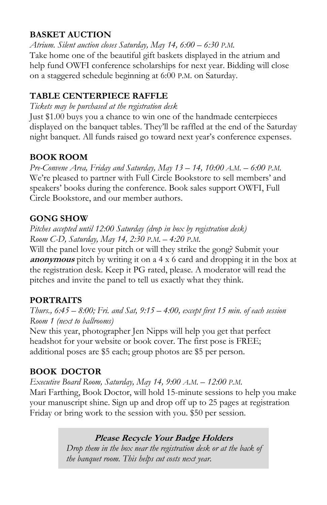### **BASKET AUCTION**

*Atrium. Silent auction closes Saturday, May 14, 6:00 – 6:30 P.M.* Take home one of the beautiful gift baskets displayed in the atrium and help fund OWFI conference scholarships for next year. Bidding will close on a staggered schedule beginning at 6:00 P.M. on Saturday.

### **TABLE CENTERPIECE RAFFLE**

*Tickets may be purchased at the registration desk*

Just \$1.00 buys you a chance to win one of the handmade centerpieces displayed on the banquet tables. They'll be raffled at the end of the Saturday night banquet. All funds raised go toward next year's conference expenses.

### **BOOK ROOM**

*Pre-Convene Area, Friday and Saturday, May 13 – 14, 10:00 A.M. – 6:00 P.M.* We're pleased to partner with Full Circle Bookstore to sell members' and speakers' books during the conference. Book sales support OWFI, Full Circle Bookstore, and our member authors.

### **GONG SHOW**

*Pitches accepted until 12:00 Saturday (drop in box by registration desk) Room C-D, Saturday, May 14, 2:30 P.M. – 4:20 P.M.*

Will the panel love your pitch or will they strike the gong? Submit your **anonymous** pitch by writing it on a 4 x 6 card and dropping it in the box at the registration desk. Keep it PG rated, please. A moderator will read the pitches and invite the panel to tell us exactly what they think.

### **PORTRAITS**

*Thurs., 6:45 – 8:00; Fri. and Sat, 9:15 – 4:00, except first 15 min. of each session Room 1 (next to ballrooms)*

New this year, photographer Jen Nipps will help you get that perfect headshot for your website or book cover. The first pose is FREE; additional poses are \$5 each; group photos are \$5 per person.

### **BOOK DOCTOR**

*Executive Board Room, Saturday, May 14, 9:00 A.M. – 12:00 P.M.* Mari Farthing, Book Doctor, will hold 15-minute sessions to help you make your manuscript shine. Sign up and drop off up to 25 pages at registration Friday or bring work to the session with you. \$50 per session.

### **Please Recycle Your Badge Holders**

 *Drop them in the box near the registration desk or at the back of the banquet room. This helps cut costs next year.*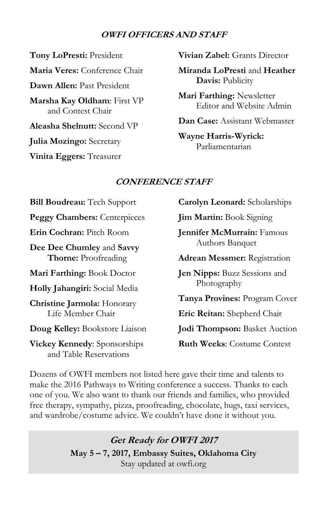#### **OWFI OFFICERS AND STAFF**

**Tony LoPresti:** President **Maria Veres:** Conference Chair **Dawn Allen:** Past President **Marsha Kay Oldham**: First VP and Contest Chair **Aleasha Shelnutt:** Second VP **Julia Mozingo:** Secretary **Vinita Eggers:** Treasurer

**Vivian Zabel:** Grants Director

**Miranda LoPresti** and **Heather Davis:** Publicity

**Mari Farthing:** Newsletter Editor and Website Admin

**Dan Case:** Assistant Webmaster

**Wayne Harris-Wyrick:** Parliamentarian

#### **CONFERENCE STAFF**

**Bill Boudreau:** Tech Support **Peggy Chambers:** Centerpieces **Erin Cochran:** Pitch Room **Dee Dee Chumley** and **Savvy Thorne:** Proofreading **Mari Farthing:** Book Doctor **Holly Jahangiri:** Social Media **Christine Jarmola:** Honorary Life Member Chair **Doug Kelley:** Bookstore Liaison

**Vickey Kennedy**: Sponsorships and Table Reservations

**Carolyn Leonard:** Scholarships

**Jim Martin:** Book Signing

**Jennifer McMurrain:** Famous Authors Banquet

**Adrean Messmer:** Registration

**Jen Nipps:** Buzz Sessions and Photography

**Tanya Provines:** Program Cover

**Eric Reitan:** Shepherd Chair

**Jodi Thompson:** Basket Auction

**Ruth Weeks**: Costume Contest

Dozens of OWFI members not listed here gave their time and talents to make the 2016 Pathways to Writing conference a success. Thanks to each one of you. We also want to thank our friends and families, who provided free therapy, sympathy, pizza, proofreading, chocolate, hugs, taxi services, and wardrobe/costume advice. We couldn't have done it without you.

> **Get Ready for OWFI 2017 May 5 – 7, 2017, Embassy Suites, Oklahoma City** Stay updated at owfi.org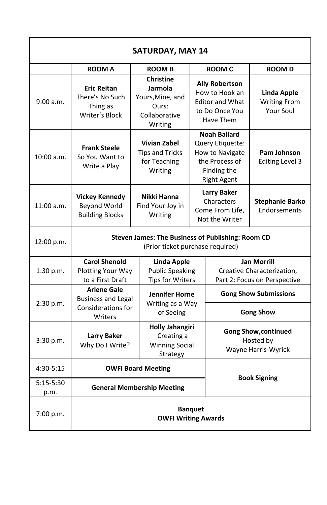| <b>SATURDAY, MAY 14</b> |                                                                                                                    |                                                                                      |                                                                                                                   |                                                                 |                                                                                  |  |  |  |
|-------------------------|--------------------------------------------------------------------------------------------------------------------|--------------------------------------------------------------------------------------|-------------------------------------------------------------------------------------------------------------------|-----------------------------------------------------------------|----------------------------------------------------------------------------------|--|--|--|
|                         | <b>ROOM A</b>                                                                                                      | <b>ROOM B</b>                                                                        |                                                                                                                   | <b>ROOM C</b>                                                   | <b>ROOMD</b>                                                                     |  |  |  |
| 9:00 a.m.               | <b>Eric Reitan</b><br>There's No Such<br>Thing as<br>Writer's Block                                                | <b>Christine</b><br>Jarmola<br>Yours, Mine, and<br>Ours:<br>Collaborative<br>Writing | <b>Ally Robertson</b><br>How to Hook an<br><b>Editor and What</b><br>to Do Once You<br>Have Them                  |                                                                 | <b>Linda Apple</b><br><b>Writing From</b><br>Your Soul                           |  |  |  |
| 10:00 a.m.              | <b>Frank Steele</b><br>So You Want to<br>Write a Play                                                              | <b>Vivian Zabel</b><br><b>Tips and Tricks</b><br>for Teaching<br>Writing             | <b>Noah Ballard</b><br>Query Etiquette:<br>How to Navigate<br>the Process of<br>Finding the<br><b>Right Agent</b> |                                                                 | Pam Johnson<br><b>Editing Level 3</b>                                            |  |  |  |
| 11:00a.m.               | <b>Vickey Kennedy</b><br><b>Beyond World</b><br><b>Building Blocks</b>                                             | Nikki Hanna<br>Find Your Joy in<br>Writing                                           | <b>Larry Baker</b><br>Characters<br>Come From Life.<br>Not the Writer                                             |                                                                 | Stephanie Barko<br>Endorsements                                                  |  |  |  |
| 12:00 p.m.              | Steven James: The Business of Publishing: Room CD<br>(Prior ticket purchase required)                              |                                                                                      |                                                                                                                   |                                                                 |                                                                                  |  |  |  |
| 1:30 p.m.               | <b>Carol Shenold</b><br><b>Plotting Your Way</b><br>to a First Draft                                               |                                                                                      | Linda Apple<br><b>Public Speaking</b><br><b>Tips for Writers</b>                                                  |                                                                 | <b>Jan Morrill</b><br>Creative Characterization,<br>Part 2: Focus on Perspective |  |  |  |
| 2:30 p.m.               | <b>Arlene Gale</b><br><b>Business and Legal</b>                                                                    | Jennifer Horne                                                                       |                                                                                                                   | <b>Gong Show Submissions</b>                                    |                                                                                  |  |  |  |
|                         | Considerations for<br>Writers                                                                                      | Writing as a Way<br>of Seeing                                                        |                                                                                                                   | <b>Gong Show</b>                                                |                                                                                  |  |  |  |
| 3:30 p.m.               | <b>Holly Jahangiri</b><br><b>Larry Baker</b><br>Creating a<br>Why Do I Write?<br><b>Winning Social</b><br>Strategy |                                                                                      |                                                                                                                   | <b>Gong Show, continued</b><br>Hosted by<br>Wayne Harris-Wyrick |                                                                                  |  |  |  |
| 4:30-5:15               |                                                                                                                    | <b>OWFI Board Meeting</b>                                                            |                                                                                                                   |                                                                 |                                                                                  |  |  |  |
| $5:15-5:30$<br>p.m.     |                                                                                                                    | <b>General Membership Meeting</b>                                                    | <b>Book Signing</b>                                                                                               |                                                                 |                                                                                  |  |  |  |
| 7:00 p.m.               | <b>Banquet</b><br><b>OWFI Writing Awards</b>                                                                       |                                                                                      |                                                                                                                   |                                                                 |                                                                                  |  |  |  |